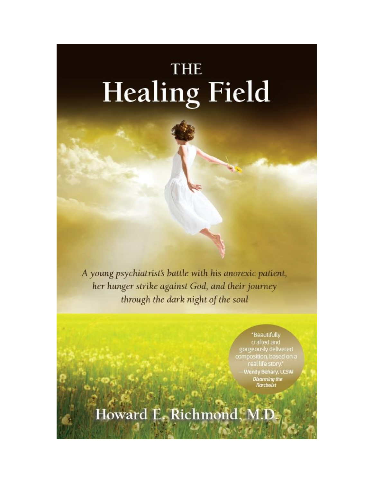# THE **Healing Field**

A young psychiatrist's battle with his anorexic patient, her hunger strike against God, and their journey through the dark night of the soul

> "Beautifully crafted and gorgeously delivered composition, based on a real life story -Wendy Behary, LCSW **Disarming the Narcissist**

Howard E. Richmond, M.D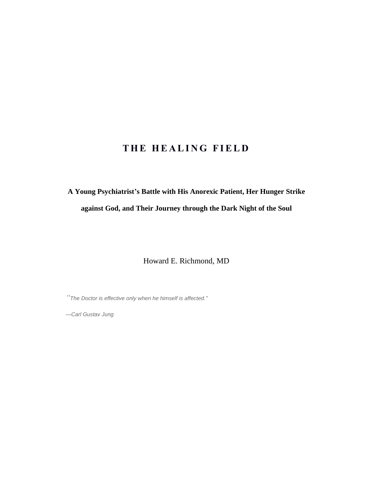### **T H E H E A L I N G F I E L D**

## **A Young Psychiatrist's Battle with His Anorexic Patient, Her Hunger Strike against God, and Their Journey through the Dark Night of the Soul**

Howard E. Richmond, MD

*"The Doctor is effective only when he himself is affected."*

*—Carl Gustav Jung*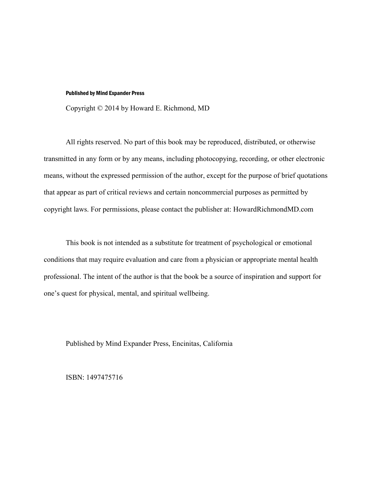#### Published by Mind Expander Press

Copyright © 2014 by Howard E. Richmond, MD

All rights reserved. No part of this book may be reproduced, distributed, or otherwise transmitted in any form or by any means, including photocopying, recording, or other electronic means, without the expressed permission of the author, except for the purpose of brief quotations that appear as part of critical reviews and certain noncommercial purposes as permitted by copyright laws. For permissions, please contact the publisher at: HowardRichmondMD.com

This book is not intended as a substitute for treatment of psychological or emotional conditions that may require evaluation and care from a physician or appropriate mental health professional. The intent of the author is that the book be a source of inspiration and support for one's quest for physical, mental, and spiritual wellbeing.

Published by Mind Expander Press, Encinitas, California

ISBN: 1497475716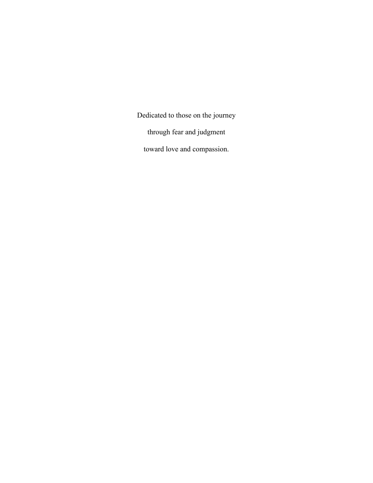Dedicated to those on the journey through fear and judgment toward love and compassion.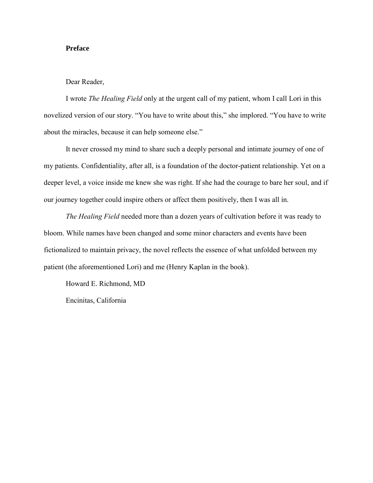#### **Preface**

#### Dear Reader,

I wrote *The Healing Field* only at the urgent call of my patient, whom I call Lori in this novelized version of our story. "You have to write about this," she implored. "You have to write about the miracles, because it can help someone else."

It never crossed my mind to share such a deeply personal and intimate journey of one of my patients. Confidentiality, after all, is a foundation of the doctor-patient relationship. Yet on a deeper level, a voice inside me knew she was right. If she had the courage to bare her soul, and if our journey together could inspire others or affect them positively, then I was all in.

*The Healing Field* needed more than a dozen years of cultivation before it was ready to bloom. While names have been changed and some minor characters and events have been fictionalized to maintain privacy, the novel reflects the essence of what unfolded between my patient (the aforementioned Lori) and me (Henry Kaplan in the book).

Howard E. Richmond, MD

Encinitas, California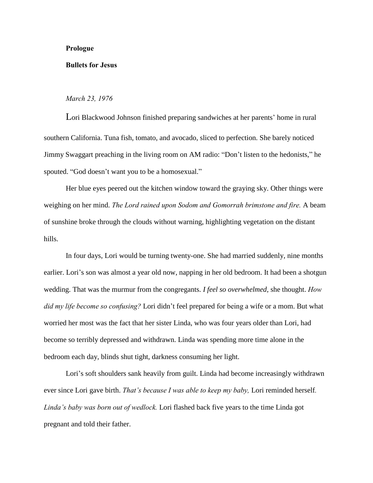#### **Prologue**

#### **Bullets for Jesus**

#### *March 23, 1976*

Lori Blackwood Johnson finished preparing sandwiches at her parents' home in rural southern California. Tuna fish, tomato, and avocado, sliced to perfection. She barely noticed Jimmy Swaggart preaching in the living room on AM radio: "Don't listen to the hedonists," he spouted. "God doesn't want you to be a homosexual."

Her blue eyes peered out the kitchen window toward the graying sky. Other things were weighing on her mind. *The Lord rained upon Sodom and Gomorrah brimstone and fire.* A beam of sunshine broke through the clouds without warning, highlighting vegetation on the distant hills.

In four days, Lori would be turning twenty-one. She had married suddenly, nine months earlier. Lori's son was almost a year old now, napping in her old bedroom. It had been a shotgun wedding. That was the murmur from the congregants. *I feel so overwhelmed,* she thought. *How did my life become so confusing?* Lori didn't feel prepared for being a wife or a mom. But what worried her most was the fact that her sister Linda, who was four years older than Lori, had become so terribly depressed and withdrawn. Linda was spending more time alone in the bedroom each day, blinds shut tight, darkness consuming her light.

Lori's soft shoulders sank heavily from guilt. Linda had become increasingly withdrawn ever since Lori gave birth. *That's because I was able to keep my baby,* Lori reminded herself*. Linda's baby was born out of wedlock.* Lori flashed back five years to the time Linda got pregnant and told their father.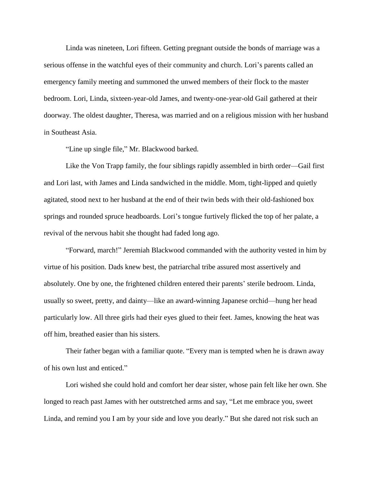Linda was nineteen, Lori fifteen. Getting pregnant outside the bonds of marriage was a serious offense in the watchful eyes of their community and church. Lori's parents called an emergency family meeting and summoned the unwed members of their flock to the master bedroom. Lori, Linda, sixteen-year-old James, and twenty-one-year-old Gail gathered at their doorway. The oldest daughter, Theresa, was married and on a religious mission with her husband in Southeast Asia.

"Line up single file," Mr. Blackwood barked.

Like the Von Trapp family, the four siblings rapidly assembled in birth order—Gail first and Lori last, with James and Linda sandwiched in the middle. Mom, tight-lipped and quietly agitated, stood next to her husband at the end of their twin beds with their old-fashioned box springs and rounded spruce headboards. Lori's tongue furtively flicked the top of her palate, a revival of the nervous habit she thought had faded long ago.

―Forward, march!‖ Jeremiah Blackwood commanded with the authority vested in him by virtue of his position. Dads knew best, the patriarchal tribe assured most assertively and absolutely. One by one, the frightened children entered their parents' sterile bedroom. Linda, usually so sweet, pretty, and dainty—like an award-winning Japanese orchid—hung her head particularly low. All three girls had their eyes glued to their feet. James, knowing the heat was off him, breathed easier than his sisters.

Their father began with a familiar quote. "Every man is tempted when he is drawn away of his own lust and enticed."

Lori wished she could hold and comfort her dear sister, whose pain felt like her own. She longed to reach past James with her outstretched arms and say, "Let me embrace you, sweet Linda, and remind you I am by your side and love you dearly." But she dared not risk such an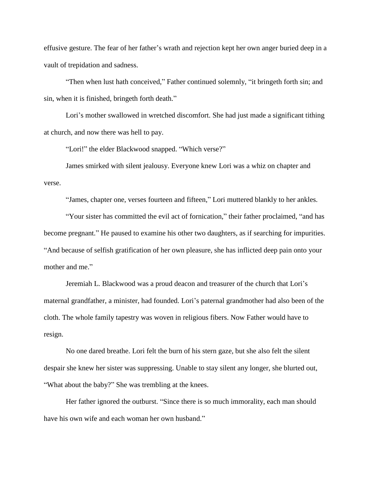effusive gesture. The fear of her father's wrath and rejection kept her own anger buried deep in a vault of trepidation and sadness.

"Then when lust hath conceived," Father continued solemnly, "it bringeth forth sin; and sin, when it is finished, bringeth forth death."

Lori's mother swallowed in wretched discomfort. She had just made a significant tithing at church, and now there was hell to pay.

"Lori!" the elder Blackwood snapped. "Which verse?"

James smirked with silent jealousy. Everyone knew Lori was a whiz on chapter and verse.

"James, chapter one, verses fourteen and fifteen," Lori muttered blankly to her ankles.

"Your sister has committed the evil act of fornication," their father proclaimed, "and has become pregnant." He paused to examine his other two daughters, as if searching for impurities. ―And because of selfish gratification of her own pleasure, she has inflicted deep pain onto your mother and me."

Jeremiah L. Blackwood was a proud deacon and treasurer of the church that Lori's maternal grandfather, a minister, had founded. Lori's paternal grandmother had also been of the cloth. The whole family tapestry was woven in religious fibers. Now Father would have to resign.

No one dared breathe. Lori felt the burn of his stern gaze, but she also felt the silent despair she knew her sister was suppressing. Unable to stay silent any longer, she blurted out, "What about the baby?" She was trembling at the knees.

Her father ignored the outburst. "Since there is so much immorality, each man should have his own wife and each woman her own husband."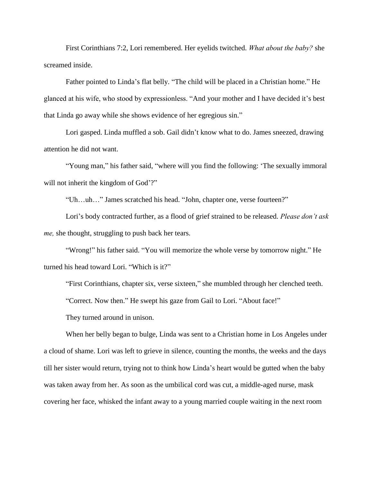First Corinthians 7:2, Lori remembered. Her eyelids twitched. *What about the baby?* she screamed inside.

Father pointed to Linda's flat belly. "The child will be placed in a Christian home." He glanced at his wife, who stood by expressionless. "And your mother and I have decided it's best that Linda go away while she shows evidence of her egregious sin."

Lori gasped. Linda muffled a sob. Gail didn't know what to do. James sneezed, drawing attention he did not want.

"Young man," his father said, "where will you find the following: 'The sexually immoral will not inherit the kingdom of God'?"

"Uh...uh..." James scratched his head. "John, chapter one, verse fourteen?"

Lori's body contracted further, as a flood of grief strained to be released. *Please don't ask me,* she thought, struggling to push back her tears.

"Wrong!" his father said. "You will memorize the whole verse by tomorrow night." He turned his head toward Lori. "Which is it?"

"First Corinthians, chapter six, verse sixteen," she mumbled through her clenched teeth.

"Correct. Now then." He swept his gaze from Gail to Lori. "About face!"

They turned around in unison.

When her belly began to bulge, Linda was sent to a Christian home in Los Angeles under a cloud of shame. Lori was left to grieve in silence, counting the months, the weeks and the days till her sister would return, trying not to think how Linda's heart would be gutted when the baby was taken away from her. As soon as the umbilical cord was cut, a middle-aged nurse, mask covering her face, whisked the infant away to a young married couple waiting in the next room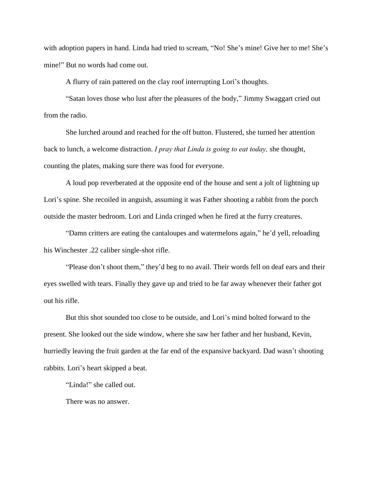with adoption papers in hand. Linda had tried to scream, "No! She's mine! Give her to me! She's mine!" But no words had come out.

A flurry of rain pattered on the clay roof interrupting Lori's thoughts.

"Satan loves those who lust after the pleasures of the body," Jimmy Swaggart cried out from the radio.

She lurched around and reached for the off button. Flustered, she turned her attention back to lunch, a welcome distraction. *I pray that Linda is going to eat today,* she thought, counting the plates, making sure there was food for everyone.

A loud pop reverberated at the opposite end of the house and sent a jolt of lightning up Lori's spine. She recoiled in anguish, assuming it was Father shooting a rabbit from the porch outside the master bedroom. Lori and Linda cringed when he fired at the furry creatures.

"Damn critters are eating the cantaloupes and watermelons again," he'd yell, reloading his Winchester .22 caliber single-shot rifle.

"Please don't shoot them," they'd beg to no avail. Their words fell on deaf ears and their eyes swelled with tears. Finally they gave up and tried to be far away whenever their father got out his rifle.

But this shot sounded too close to be outside, and Lori's mind bolted forward to the present. She looked out the side window, where she saw her father and her husband, Kevin, hurriedly leaving the fruit garden at the far end of the expansive backyard. Dad wasn't shooting rabbits. Lori's heart skipped a beat.

"Linda!" she called out.

There was no answer.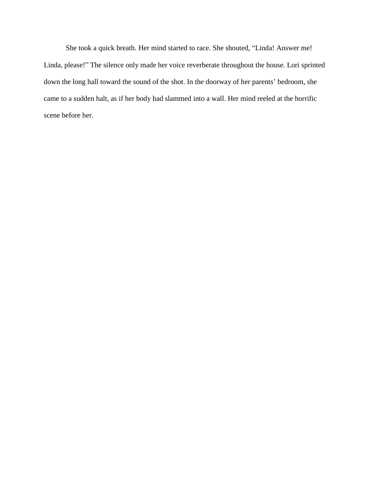She took a quick breath. Her mind started to race. She shouted, "Linda! Answer me! Linda, please!" The silence only made her voice reverberate throughout the house. Lori sprinted down the long hall toward the sound of the shot. In the doorway of her parents' bedroom, she came to a sudden halt, as if her body had slammed into a wall. Her mind reeled at the horrific scene before her.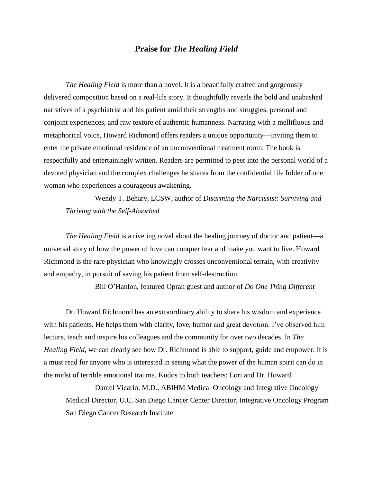#### **Praise for** *The Healing Field*

*The Healing Field* is more than a novel. It is a beautifully crafted and gorgeously delivered composition based on a real-life story. It thoughtfully reveals the bold and unabashed narratives of a psychiatrist and his patient amid their strengths and struggles, personal and conjoint experiences, and raw texture of authentic humanness. Narrating with a mellifluous and metaphorical voice, Howard Richmond offers readers a unique opportunity—inviting them to enter the private emotional residence of an unconventional treatment room. The book is respectfully and entertainingly written. Readers are permitted to peer into the personal world of a devoted physician and the complex challenges he shares from the confidential file folder of one woman who experiences a courageous awakening.

—Wendy T. Behary, LCSW, author of *Disarming the Narcissist: Surviving and Thriving with the Self-Absorbed*

*The Healing Field* is a riveting novel about the healing journey of doctor and patient—a universal story of how the power of love can conquer fear and make you want to live. Howard Richmond is the rare physician who knowingly crosses unconventional terrain, with creativity and empathy, in pursuit of saving his patient from self-destruction.

—Bill O'Hanlon, featured Oprah guest and author of *Do One Thing Different*

Dr. Howard Richmond has an extraordinary ability to share his wisdom and experience with his patients. He helps them with clarity, love, humor and great devotion. I've observed him lecture, teach and inspire his colleagues and the community for over two decades. In *The Healing Field*, we can clearly see how Dr. Richmond is able to support, guide and empower. It is a must read for anyone who is interested in seeing what the power of the human spirit can do in the midst of terrible emotional trauma. Kudos to both teachers: Lori and Dr. Howard.

––Daniel Vicario, M.D., ABIHM Medical Oncology and Integrative Oncology Medical Director, U.C. San Diego Cancer Center Director, Integrative Oncology Program San Diego Cancer Research Institute